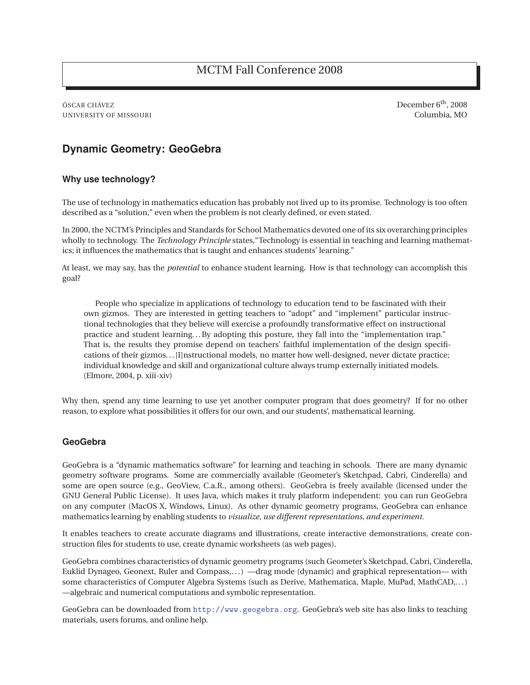ÓSCAR CHÁVEZ DECEMBER 6<sup>th</sup>, 2008 UNIVERSITY OF MISSOURI Columbia, MO

# **Dynamic Geometry: GeoGebra**

## **Why use technology?**

The use of technology in mathematics education has probably not lived up to its promise. Technology is too often described as a "solution," even when the problem is not clearly defined, or even stated.

In 2000, the NCTM's Principles and Standards for School Mathematics devoted one of its six overarching principles wholly to technology. The *Technology Principle* states,"Technology is essential in teaching and learning mathematics; it influences the mathematics that is taught and enhances students' learning."

At least, we may say, has the *potential* to enhance student learning. How is that technology can accomplish this goal?

People who specialize in applications of technology to education tend to be fascinated with their own gizmos. They are interested in getting teachers to "adopt" and "implement" particular instructional technologies that they believe will exercise a profoundly transformative effect on instructional practice and student learning. . . By adopting this posture, they fall into the "implementation trap." That is, the results they promise depend on teachers' faithful implementation of the design specifications of their gizmos... [I]nstructional models, no matter how well-designed, never dictate practice; individual knowledge and skill and organizational culture always trump externally initiated models. (Elmore, 2004, p. xiii-xiv)

Why then, spend any time learning to use yet another computer program that does geometry? If for no other reason, to explore what possibilities it offers for our own, and our students', mathematical learning.

## **GeoGebra**

GeoGebra is a "dynamic mathematics software" for learning and teaching in schools. There are many dynamic geometry software programs. Some are commercially available (Geometer's Sketchpad, Cabri, Cinderella) and some are open source (e.g., GeoView, C.a.R., among others). GeoGebra is freely available (licensed under the GNU General Public License). It uses Java, which makes it truly platform independent: you can run GeoGebra on any computer (MacOS X, Windows, Linux). As other dynamic geometry programs, GeoGebra can enhance mathematics learning by enabling students to *visualize, use different representations, and experiment.*

It enables teachers to create accurate diagrams and illustrations, create interactive demonstrations, create construction files for students to use, create dynamic worksheets (as web pages).

GeoGebra combines characteristics of dynamic geometry programs (such Geometer's Sketchpad, Cabri, Cinderella, Euklid Dynageo, Geonext, Ruler and Compass,. . . ) —drag mode (dynamic) and graphical representation— with some characteristics of Computer Algebra Systems (such as Derive, Mathematica, Maple, MuPad, MathCAD,...) —algebraic and numerical computations and symbolic representation.

GeoGebra can be downloaded from http://www.geogebra.org. GeoGebra's web site has also links to teaching materials, users forums, and online help.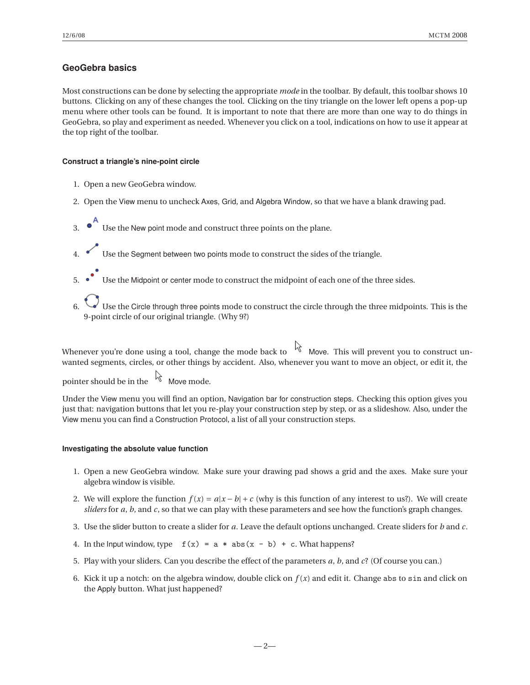# **GeoGebra basics**

Most constructions can be done by selecting the appropriate *mode* in the toolbar. By default, this toolbar shows 10 buttons. Clicking on any of these changes the tool. Clicking on the tiny triangle on the lower left opens a pop-up menu where other tools can be found. It is important to note that there are more than one way to do things in GeoGebra, so play and experiment as needed. Whenever you click on a tool, indications on how to use it appear at the top right of the toolbar.

## **Construct a triangle's nine-point circle**

- 1. Open a new GeoGebra window.
- 2. Open the View menu to uncheck Axes, Grid, and Algebra Window, so that we have a blank drawing pad.
- 3.  $\bullet$  Use the New point mode and construct three points on the plane.
- 4. Use the Segment between two points mode to construct the sides of the triangle.
- 5. Use the Midpoint or center mode to construct the midpoint of each one of the three sides.
- Use the Circle through three points mode to construct the circle through the three midpoints. This is the 9-point circle of our original triangle. (Why 9?)

Whenever you're done using a tool, change the mode back to  $\overrightarrow{k}$  Move. This will prevent you to construct unwanted segments, circles, or other things by accident. Also, whenever you want to move an object, or edit it, the

pointer should be in the  $\log_{10}$  Move mode.

Under the View menu you will find an option, Navigation bar for construction steps. Checking this option gives you just that: navigation buttons that let you re-play your construction step by step, or as a slideshow. Also, under the View menu you can find a Construction Protocol, a list of all your construction steps.

### **Investigating the absolute value function**

- 1. Open a new GeoGebra window. Make sure your drawing pad shows a grid and the axes. Make sure your algebra window is visible.
- 2. We will explore the function  $f(x) = a|x b| + c$  (why is this function of any interest to us?). We will create *sliders* for *a*, *b*, and *c*, so that we can play with these parameters and see how the function's graph changes.
- 3. Use the slider button to create a slider for *a*. Leave the default options unchanged. Create sliders for *b* and *c*.
- 4. In the Input window, type  $f(x) = a * abs(x b) + c$ . What happens?
- 5. Play with your sliders. Can you describe the effect of the parameters *a*, *b*, and *c*? (Of course you can.)
- 6. Kick it up a notch: on the algebra window, double click on  $f(x)$  and edit it. Change abs to sin and click on the Apply button. What just happened?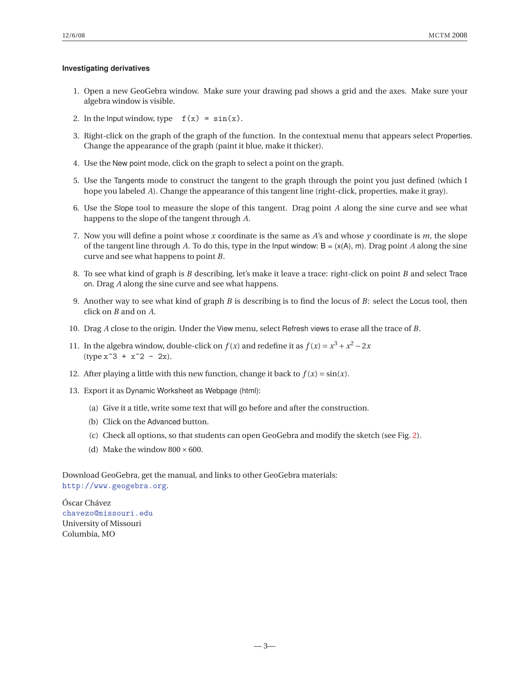### **Investigating derivatives**

- 1. Open a new GeoGebra window. Make sure your drawing pad shows a grid and the axes. Make sure your algebra window is visible.
- 2. In the lnput window, type  $f(x) = \sin(x)$ .
- 3. Right-click on the graph of the graph of the function. In the contextual menu that appears select Properties. Change the appearance of the graph (paint it blue, make it thicker).
- 4. Use the New point mode, click on the graph to select a point on the graph.
- 5. Use the Tangents mode to construct the tangent to the graph through the point you just defined (which I hope you labeled *A*). Change the appearance of this tangent line (right-click, properties, make it gray).
- 6. Use the Slope tool to measure the slope of this tangent. Drag point *A* along the sine curve and see what happens to the slope of the tangent through *A*.
- 7. Now you will define a point whose *x* coordinate is the same as *A*'s and whose *y* coordinate is *m*, the slope of the tangent line through A. To do this, type in the Input window:  $B = (x(A), m)$ . Drag point A along the sine curve and see what happens to point *B*.
- 8. To see what kind of graph is *B* describing, let's make it leave a trace: right-click on point *B* and select Trace on. Drag *A* along the sine curve and see what happens.
- 9. Another way to see what kind of graph *B* is describing is to find the locus of *B*: select the Locus tool, then click on *B* and on *A*.
- 10. Drag *A* close to the origin. Under the View menu, select Refresh views to erase all the trace of *B*.
- 11. In the algebra window, double-click on  $f(x)$  and redefine it as  $f(x) = x^3 + x^2 2x$  $(type x^3 + x^2 - 2x).$
- 12. After playing a little with this new function, change it back to  $f(x) = \sin(x)$ .
- 13. Export it as Dynamic Worksheet as Webpage (html):
	- (a) Give it a title, write some text that will go before and after the construction.
	- (b) Click on the Advanced button.
	- (c) Check all options, so that students can open GeoGebra and modify the sketch (see Fig. 2).
	- (d) Make the window  $800 \times 600$ .

Download GeoGebra, get the manual, and links to other GeoGebra materials: http://www.geogebra.org.

Óscar Chávez chavezo@missouri.edu University of Missouri Columbia, MO